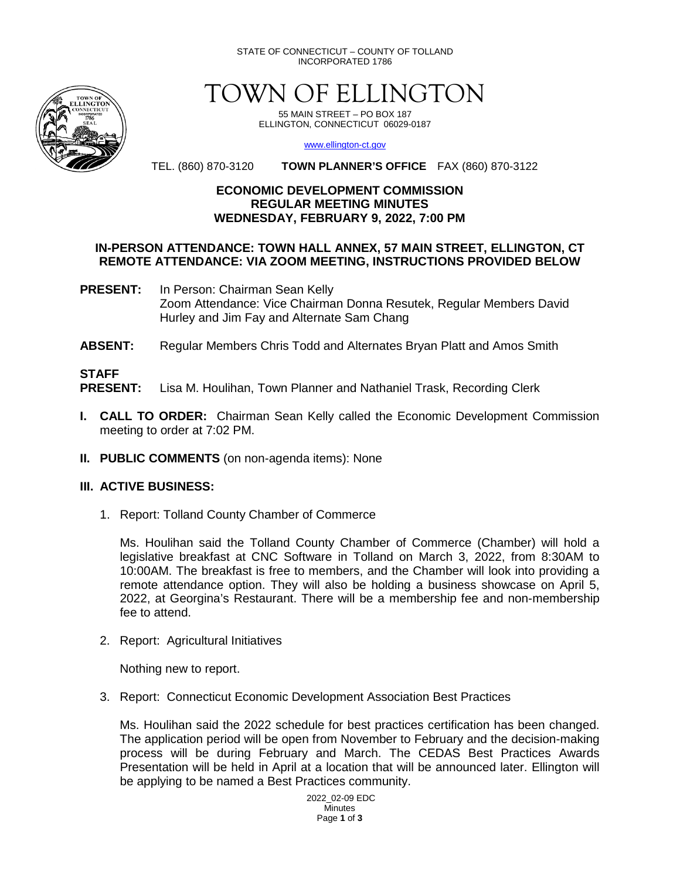STATE OF CONNECTICUT – COUNTY OF TOLLAND INCORPORATED 1786



TOWN OF ELLINGTON

55 MAIN STREET – PO BOX 187 ELLINGTON, CONNECTICUT 06029-0187

[www.ellington-ct.gov](http://www.ellington-ct.gov/)

TEL. (860) 870-3120 **TOWN PLANNER'S OFFICE** FAX (860) 870-3122

### **ECONOMIC DEVELOPMENT COMMISSION REGULAR MEETING MINUTES WEDNESDAY, FEBRUARY 9, 2022, 7:00 PM**

#### **IN-PERSON ATTENDANCE: TOWN HALL ANNEX, 57 MAIN STREET, ELLINGTON, CT REMOTE ATTENDANCE: VIA ZOOM MEETING, INSTRUCTIONS PROVIDED BELOW**

**PRESENT:** In Person: Chairman Sean Kelly Zoom Attendance: Vice Chairman Donna Resutek, Regular Members David Hurley and Jim Fay and Alternate Sam Chang

**ABSENT:** Regular Members Chris Todd and Alternates Bryan Platt and Amos Smith

# **STAFF**  Lisa M. Houlihan, Town Planner and Nathaniel Trask, Recording Clerk

- **I. CALL TO ORDER:** Chairman Sean Kelly called the Economic Development Commission meeting to order at 7:02 PM.
- **II. PUBLIC COMMENTS** (on non-agenda items): None

### **III. ACTIVE BUSINESS:**

1. Report: Tolland County Chamber of Commerce

Ms. Houlihan said the Tolland County Chamber of Commerce (Chamber) will hold a legislative breakfast at CNC Software in Tolland on March 3, 2022, from 8:30AM to 10:00AM. The breakfast is free to members, and the Chamber will look into providing a remote attendance option. They will also be holding a business showcase on April 5, 2022, at Georgina's Restaurant. There will be a membership fee and non-membership fee to attend.

2. Report: Agricultural Initiatives

Nothing new to report.

3. Report: Connecticut Economic Development Association Best Practices

Ms. Houlihan said the 2022 schedule for best practices certification has been changed. The application period will be open from November to February and the decision-making process will be during February and March. The CEDAS Best Practices Awards Presentation will be held in April at a location that will be announced later. Ellington will be applying to be named a Best Practices community.

> 2022\_02-09 EDC Minutes Page **1** of **3**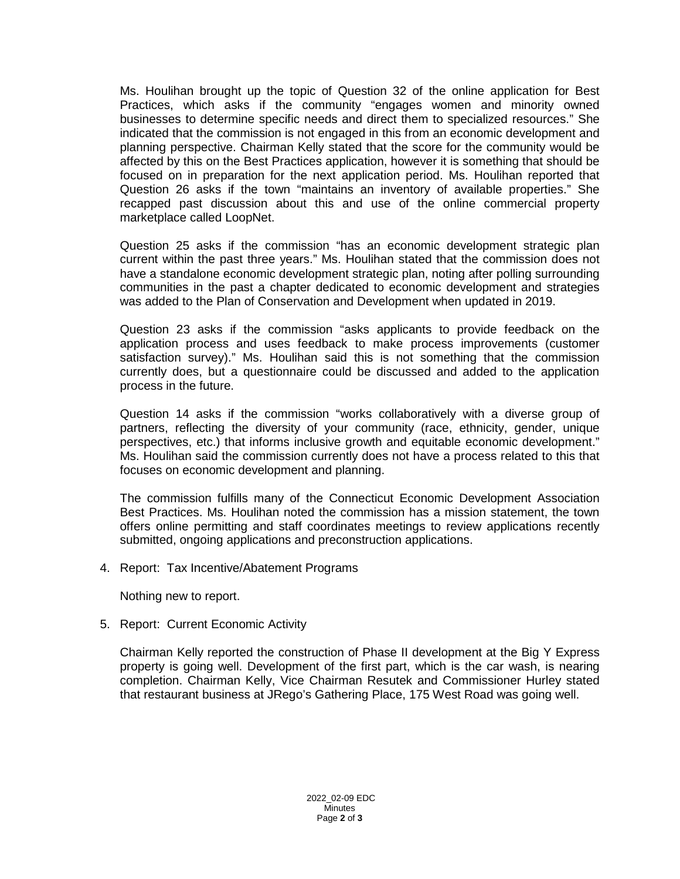Ms. Houlihan brought up the topic of Question 32 of the online application for Best Practices, which asks if the community "engages women and minority owned businesses to determine specific needs and direct them to specialized resources." She indicated that the commission is not engaged in this from an economic development and planning perspective. Chairman Kelly stated that the score for the community would be affected by this on the Best Practices application, however it is something that should be focused on in preparation for the next application period. Ms. Houlihan reported that Question 26 asks if the town "maintains an inventory of available properties." She recapped past discussion about this and use of the online commercial property marketplace called LoopNet.

Question 25 asks if the commission "has an economic development strategic plan current within the past three years." Ms. Houlihan stated that the commission does not have a standalone economic development strategic plan, noting after polling surrounding communities in the past a chapter dedicated to economic development and strategies was added to the Plan of Conservation and Development when updated in 2019.

Question 23 asks if the commission "asks applicants to provide feedback on the application process and uses feedback to make process improvements (customer satisfaction survey)." Ms. Houlihan said this is not something that the commission currently does, but a questionnaire could be discussed and added to the application process in the future.

Question 14 asks if the commission "works collaboratively with a diverse group of partners, reflecting the diversity of your community (race, ethnicity, gender, unique perspectives, etc.) that informs inclusive growth and equitable economic development." Ms. Houlihan said the commission currently does not have a process related to this that focuses on economic development and planning.

The commission fulfills many of the Connecticut Economic Development Association Best Practices. Ms. Houlihan noted the commission has a mission statement, the town offers online permitting and staff coordinates meetings to review applications recently submitted, ongoing applications and preconstruction applications.

4. Report: Tax Incentive/Abatement Programs

Nothing new to report.

5. Report: Current Economic Activity

Chairman Kelly reported the construction of Phase II development at the Big Y Express property is going well. Development of the first part, which is the car wash, is nearing completion. Chairman Kelly, Vice Chairman Resutek and Commissioner Hurley stated that restaurant business at JRego's Gathering Place, 175 West Road was going well.